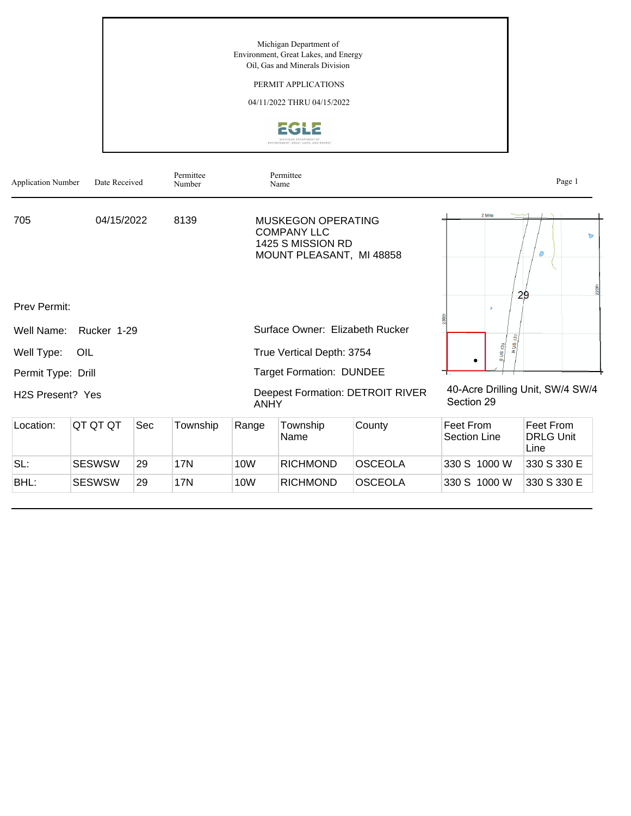Michigan Department of Environment, Great Lakes, and Energy Oil, Gas and Minerals Division

## PERMIT APPLICATIONS

04/11/2022 THRU 04/15/2022



| <b>Application Number</b>     | Date Received |     | Permittee<br>Number |                                                        | Permittee<br>Name                                                                                |                |                                                | Page 1                                |  |
|-------------------------------|---------------|-----|---------------------|--------------------------------------------------------|--------------------------------------------------------------------------------------------------|----------------|------------------------------------------------|---------------------------------------|--|
| 705                           | 04/15/2022    |     | 8139                |                                                        | <b>MUSKEGON OPERATING</b><br><b>COMPANY LLC</b><br>1425 S MISSION RD<br>MOUNT PLEASANT, MI 48858 |                | 2 Mile                                         | Ь<br>$\circ$<br>220th<br>29           |  |
| <b>Prev Permit:</b>           |               |     |                     |                                                        |                                                                                                  |                |                                                |                                       |  |
| Well Name:                    | Rucker 1-29   |     |                     |                                                        | Surface Owner: Elizabeth Rucker                                                                  |                |                                                |                                       |  |
| Well Type:                    | OIL           |     |                     | True Vertical Depth: 3754                              |                                                                                                  |                | $SUS$ <sub>131</sub>                           |                                       |  |
| Permit Type: Drill            |               |     |                     | <b>Target Formation: DUNDEE</b>                        |                                                                                                  |                |                                                |                                       |  |
| H <sub>2</sub> S Present? Yes |               |     |                     | <b>Deepest Formation: DETROIT RIVER</b><br><b>ANHY</b> |                                                                                                  |                | 40-Acre Drilling Unit, SW/4 SW/4<br>Section 29 |                                       |  |
| Location:                     | QT QT QT      | Sec | Township            | Range                                                  | Township<br>Name                                                                                 | County         | Feet From<br><b>Section Line</b>               | Feet From<br><b>DRLG Unit</b><br>Line |  |
| SL:                           | <b>SESWSW</b> | 29  | <b>17N</b>          | 10 <sub>W</sub>                                        | <b>RICHMOND</b>                                                                                  | <b>OSCEOLA</b> | 330 S 1000 W                                   | 330 S 330 E                           |  |
| BHL:                          | <b>SESWSW</b> | 29  | 17N                 | 10W                                                    | <b>RICHMOND</b>                                                                                  | <b>OSCEOLA</b> | 330 S 1000 W                                   | 330 S 330 E                           |  |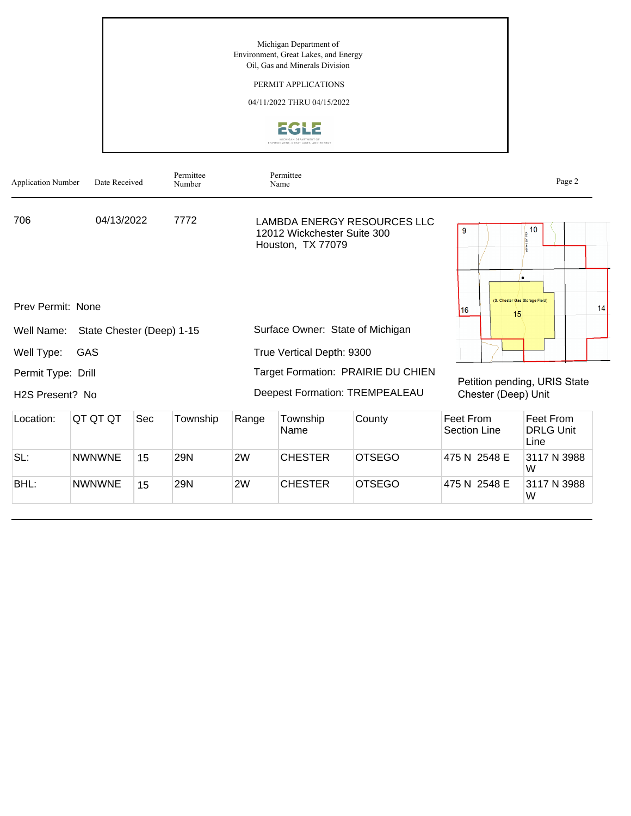Michigan Department of Environment, Great Lakes, and Energy Oil, Gas and Minerals Division

## PERMIT APPLICATIONS

04/11/2022 THRU 04/15/2022



| <b>Application Number</b> | Date Received             |            | Permittee<br>Number |       | Permittee<br>Name                                |                                    |                                                     | Page 2                                            |  |
|---------------------------|---------------------------|------------|---------------------|-------|--------------------------------------------------|------------------------------------|-----------------------------------------------------|---------------------------------------------------|--|
| 706<br>04/13/2022<br>7772 |                           |            |                     |       | 12012 Wickchester Suite 300<br>Houston, TX 77079 | LAMBDA ENERGY RESOURCES LLC        | 9                                                   | 10                                                |  |
| Prev Permit: None         |                           |            |                     |       |                                                  |                                    | 116<br>15                                           | $\bullet$<br>(S. Chester Gas Storage Field)<br>14 |  |
| Well Name:                | State Chester (Deep) 1-15 |            |                     |       |                                                  | Surface Owner: State of Michigan   |                                                     |                                                   |  |
| Well Type:                | GAS                       |            |                     |       | True Vertical Depth: 9300                        |                                    |                                                     |                                                   |  |
| Permit Type: Drill        |                           |            |                     |       |                                                  | Target Formation: PRAIRIE DU CHIEN |                                                     |                                                   |  |
| H2S Present? No           |                           |            |                     |       |                                                  | Deepest Formation: TREMPEALEAU     | Petition pending, URIS State<br>Chester (Deep) Unit |                                                   |  |
| Location:                 | QT QT QT                  | <b>Sec</b> | Township            | Range | Township<br>Name                                 | County                             | Feet From<br><b>Section Line</b>                    | Feet From<br><b>DRLG Unit</b><br>Line             |  |
| SL:                       | <b>NWNWNE</b>             | 15         | <b>29N</b>          | 2W    | <b>CHESTER</b>                                   | <b>OTSEGO</b>                      | 475 N 2548 E                                        | 3117 N 3988<br>W                                  |  |
| BHL:                      | <b>NWNWNE</b>             | 15         | 29N                 | 2W    | <b>CHESTER</b>                                   | <b>OTSEGO</b>                      | 475 N 2548 E                                        | 3117 N 3988<br>W                                  |  |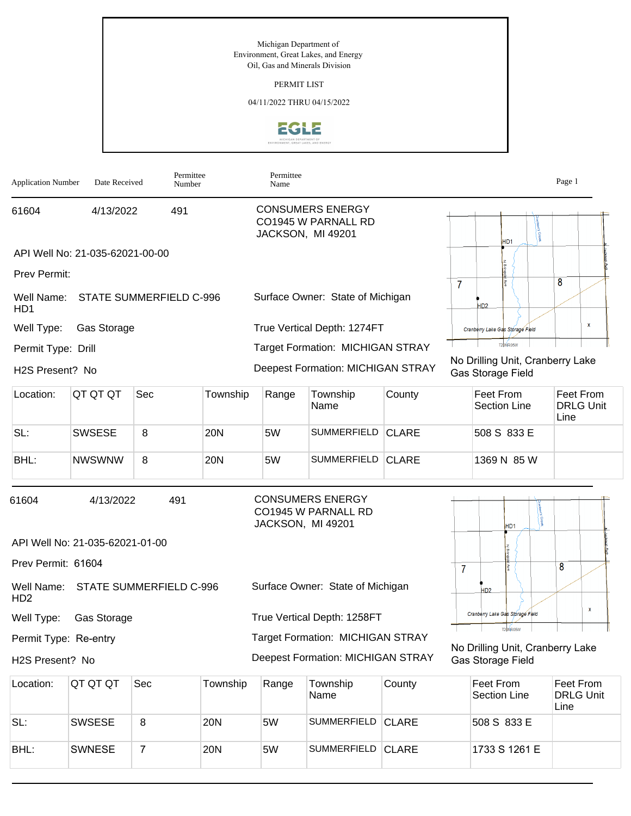Michigan Department of Environment, Great Lakes, and Energy Oil, Gas and Minerals Division

PERMIT LIST

04/11/2022 THRU 04/15/2022



| <b>Application Number</b>      | Date Received                   | Permittee<br>Number            |            | Permittee<br>Name |                                                                     |              |                |                                                       | Page 1                                |
|--------------------------------|---------------------------------|--------------------------------|------------|-------------------|---------------------------------------------------------------------|--------------|----------------|-------------------------------------------------------|---------------------------------------|
| 61604                          | 4/13/2022                       | 491                            |            |                   | <b>CONSUMERS ENERGY</b><br>CO1945 W PARNALL RD<br>JACKSON, MI 49201 |              |                | HD <sub>1</sub>                                       |                                       |
|                                | API Well No: 21-035-62021-00-00 |                                |            |                   |                                                                     |              |                |                                                       |                                       |
| Prev Permit:                   |                                 |                                |            |                   |                                                                     |              |                |                                                       |                                       |
| Well Name:<br>H <sub>D</sub> 1 |                                 | <b>STATE SUMMERFIELD C-996</b> |            |                   | Surface Owner: State of Michigan                                    |              | $\overline{7}$ | HD <sub>2</sub>                                       | 8                                     |
| Well Type:                     | Gas Storage                     |                                |            |                   | True Vertical Depth: 1274FT                                         |              |                | Cranberry Lake Gas Storage Field                      | $\pmb{\mathsf{x}}$                    |
| Permit Type: Drill             |                                 |                                |            |                   | <b>Target Formation: MICHIGAN STRAY</b>                             |              |                | T20NR05W                                              |                                       |
| H2S Present? No                |                                 |                                |            |                   | <b>Deepest Formation: MICHIGAN STRAY</b>                            |              |                | No Drilling Unit, Cranberry Lake<br>Gas Storage Field |                                       |
| Location:                      | QT QT QT                        | Sec                            | Township   | Range             | Township<br>Name                                                    | County       |                | Feet From<br><b>Section Line</b>                      | Feet From<br><b>DRLG Unit</b><br>Line |
| SL:                            | <b>SWSESE</b>                   | 8                              | <b>20N</b> | 5W                | <b>SUMMERFIELD</b>                                                  | <b>CLARE</b> |                | 508 S 833 E                                           |                                       |
| BHL:                           | <b>NWSWNW</b>                   | 8                              | 20N        | 5W                | SUMMERFIELD CLARE                                                   |              |                | 1369 N 85 W                                           |                                       |
| 61604                          | 4/13/2022                       | 491                            |            | JACKSON, MI 49201 | <b>CONSUMERS ENERGY</b><br>CO1945 W PARNALL RD                      |              |                | HD <sub>1</sub>                                       |                                       |
|                                | API Well No: 21-035-62021-01-00 |                                |            |                   |                                                                     |              |                |                                                       |                                       |
| Prev Permit: 61604             |                                 |                                |            |                   |                                                                     |              | $\overline{7}$ |                                                       | 8                                     |
| Well Name:<br>H <sub>D</sub> 2 |                                 | <b>STATE SUMMERFIELD C-996</b> |            |                   | Surface Owner: State of Michigan                                    |              |                | HD <sub>2</sub>                                       |                                       |
| Well Type:                     | Gas Storage                     |                                |            |                   | True Vertical Depth: 1258FT                                         |              |                | Cranberry Lake Gas Storage Field                      | $\mathbf x$                           |
| Permit Type: Re-entry          |                                 |                                |            |                   | <b>Target Formation: MICHIGAN STRAY</b>                             |              |                | T20NR05W                                              |                                       |
| H2S Present? No                |                                 |                                |            |                   | <b>Deepest Formation: MICHIGAN STRAY</b>                            |              |                | No Drilling Unit, Cranberry Lake<br>Gas Storage Field |                                       |
| Location:                      | QT QT QT                        | Sec                            | Township   | Range             | Township<br>Name                                                    | County       |                | Feet From<br>Section Line                             | Feet From<br><b>DRLG Unit</b><br>Line |
| SL:                            | <b>SWSESE</b>                   | 8                              | <b>20N</b> | 5W                | SUMMERFIELD CLARE                                                   |              |                | 508 S 833 E                                           |                                       |

SL: SWSESE 8 20N 5W SUMMERFIELD CLARE 508 S 833 E BHL: SWNESE 7 20N 5W SUMMERFIELD CLARE 1733 S 1261 E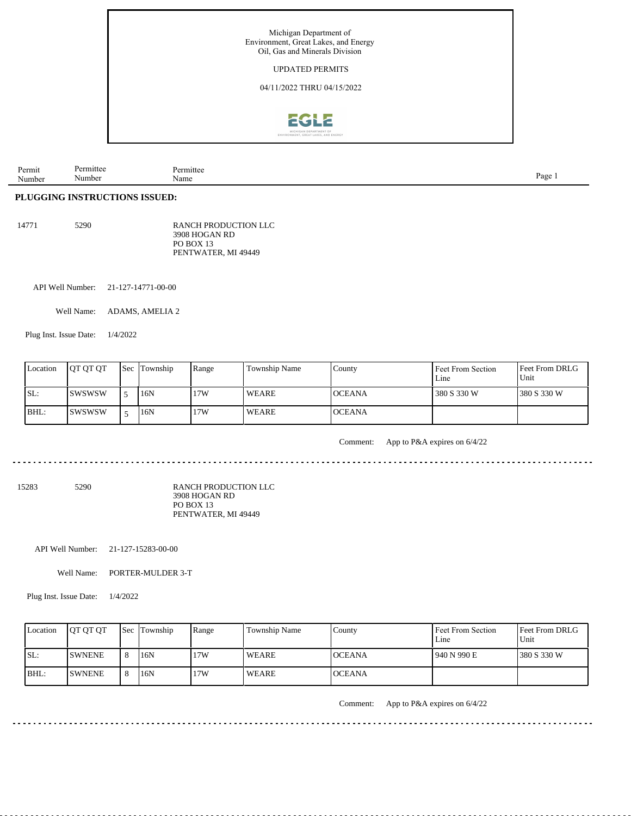

| Permit                 | ուււա | 11 TIE |       |
|------------------------|-------|--------|-------|
|                        |       |        |       |
| $\mathbf{A}$<br>Number | lumr  | Name   | $P_2$ |

## **PLUGGING INSTRUCTIONS ISSUED:**

| 5290 | RANCH PRODUCTION LLC |
|------|----------------------|
|      | 3908 HOGAN RD        |
|      | <b>PO BOX 13</b>     |
|      | PENTWATER, MI 49449  |
|      |                      |

API Well Number: 21-127-14771-00-00

Well Name: ADAMS, AMELIA 2

Plug Inst. Issue Date: 1/4/2022

| Location | <b>OT OT OT</b> | <b>Sec Township</b> | Range | Township Name | County        | Feet From Section<br>Line | <b>Feet From DRLG</b><br>l Unit |
|----------|-----------------|---------------------|-------|---------------|---------------|---------------------------|---------------------------------|
| ISL:     | <b>ISWSWSW</b>  | 16N                 | 17W   | <b>WEARE</b>  | <b>OCEANA</b> | 380 S 330 W               | 380 S 330 W                     |
| BHL:     | ISWSWSW         | 16N                 | 17W   | WEARE         | <b>OCEANA</b> |                           |                                 |

Comment: App to P&A expires on 6/4/22

 $- - -$ 

 $\mathcal{L}^{\mathcal{L}}\left( \mathcal{L}^{\mathcal{L}}\left( \mathcal{L}^{\mathcal{L}}\right) \right) =\mathcal{L}^{\mathcal{L}}\left( \mathcal{L}^{\mathcal{L}}\right)$ 

15283 5290

RANCH PRODUCTION LLC 3908 HOGAN RD PO BOX 13 PENTWATER, MI 49449

API Well Number: 21-127-15283-00-00

Well Name: PORTER-MULDER 3-T

Plug Inst. Issue Date: 1/4/2022

| Location | <b>OT OT OT</b> |    | <b>Sec Township</b> | Range | Township Name | Countv         | Feet From Section<br>Line | <b>Feet From DRLG</b><br>Unit |
|----------|-----------------|----|---------------------|-------|---------------|----------------|---------------------------|-------------------------------|
| SL:      | <b>ISWNENE</b>  | 8  | 16N                 | 17W   | WEARE         | <b>IOCEANA</b> | 940 N 990 E               | 1380 S 330 W                  |
| IBHL:    | <b>ISWNENE</b>  | -C | 16N                 | 17W   | <b>WEARE</b>  | <b>OCEANA</b>  |                           |                               |

Comment: App to P&A expires on 6/4/22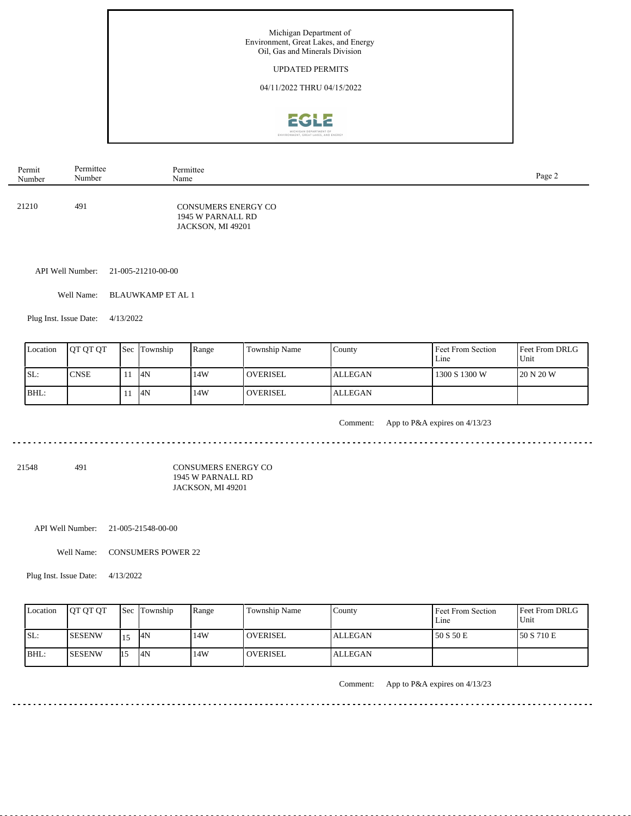

| Permit | Permittee | Permittee                                                            | Page 2 |
|--------|-----------|----------------------------------------------------------------------|--------|
| Number | Number    | Name                                                                 |        |
| 21210  | 491       | <b>CONSUMERS ENERGY CO</b><br>1945 W PARNALL RD<br>JACKSON, MI 49201 |        |

API Well Number: 21-005-21210-00-00

Well Name: BLAUWKAMP ET AL 1

Plug Inst. Issue Date: 4/13/2022

| Location | <b>IOT OT OT</b> | <b>Sec Township</b> | Range | <b>Township Name</b> | County         | Feet From Section<br>Line | <b>Feet From DRLG</b><br>Unit |
|----------|------------------|---------------------|-------|----------------------|----------------|---------------------------|-------------------------------|
| SL:      | <b>CNSE</b>      | 4N                  | 14W   | <b>OVERISEL</b>      | <b>ALLEGAN</b> | 1300 S 1300 W             | 120 N 20 W                    |
| $IBHL$ : |                  | 4N                  | 14W   | <b>OVERISEL</b>      | <b>ALLEGAN</b> |                           |                               |

. . . . . . . . . . . . . . . . .

Comment: App to P&A expires on 4/13/23

21548 491

CONSUMERS ENERGY CO 1945 W PARNALL RD JACKSON, MI 49201

. . . . . . . . . . . .

API Well Number: 21-005-21548-00-00

Well Name: CONSUMERS POWER 22

Plug Inst. Issue Date: 4/13/2022

| Location | <b>JOT OT OT</b> |      | <b>Sec</b> Township | Range | Township Name   | County  | Feet From Section<br>Line | Feet From DRLG<br>Unit |
|----------|------------------|------|---------------------|-------|-----------------|---------|---------------------------|------------------------|
| SL:      | <b>ISESENW</b>   |      | <sup>4N</sup>       | 14W   | <b>OVERISEL</b> | ALLEGAN | 50 S 50 E                 | 150 S 710 E            |
| IBHL:    | <b>ISESENW</b>   | I1.5 | 14N                 | 14W   | <b>OVERISEL</b> | ALLEGAN |                           |                        |

<u>. . . . . . . . . . . . . . . .</u>

Comment: App to P&A expires on 4/13/23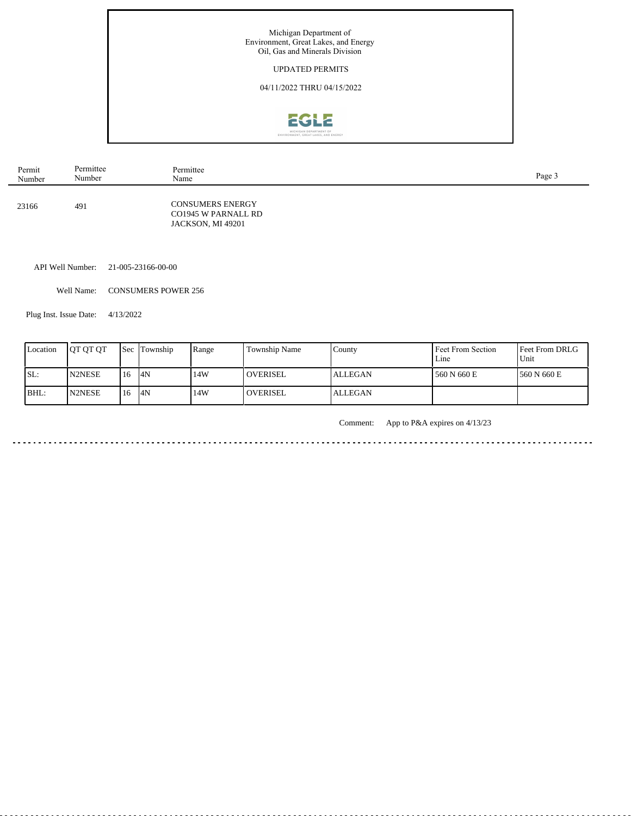

| Permit | Permittee | Permittee                                                           | Page 3 |
|--------|-----------|---------------------------------------------------------------------|--------|
| Number | Number    | Name                                                                |        |
| 23166  | 491       | <b>CONSUMERS ENERGY</b><br>CO1945 W PARNALL RD<br>JACKSON, MI 49201 |        |

API Well Number: 21-005-23166-00-00

Well Name: CONSUMERS POWER 256

Plug Inst. Issue Date: 4/13/2022

l.

| Location | <b>IOT OT OT</b> |      | <b>Sec Township</b> | Range | <b>Township Name</b> | Countv         | Feet From Section<br>Line | <b>Feet From DRLG</b><br>Unit |
|----------|------------------|------|---------------------|-------|----------------------|----------------|---------------------------|-------------------------------|
| SL:      | <b>N2NESE</b>    | 116  | 14N                 | 14W   | <b>OVERISEL</b>      | <b>ALLEGAN</b> | 560 N 660 E               | 1560 N 660 E                  |
| IBHL:    | <b>IN2NESE</b>   | l 16 | 4N                  | 14W   | <b>OVERISEL</b>      | ALLEGAN        |                           |                               |

Comment: App to P&A expires on 4/13/23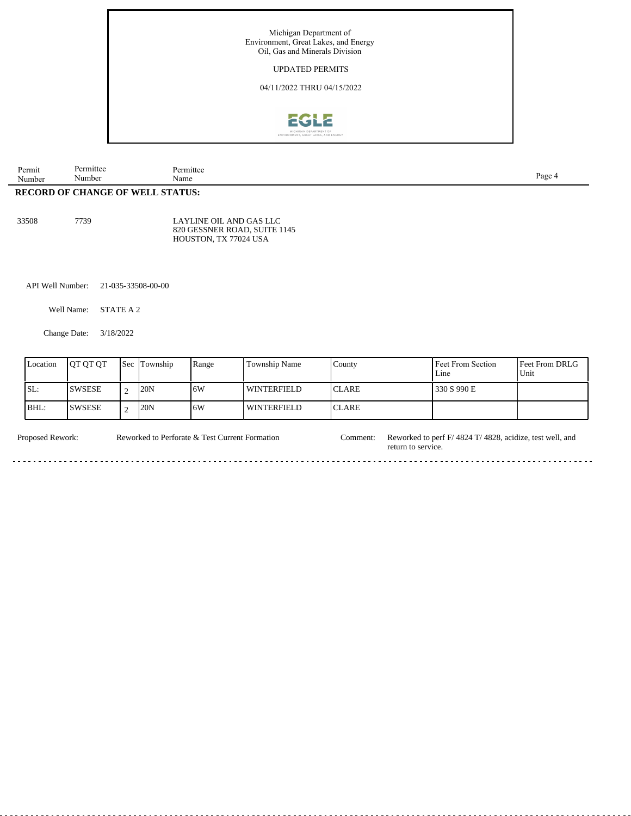

| Number<br>$\mathbf{D} \mathbf{F} \cap \mathbf{D} \cap \mathbf{D} \cap \mathbf{F}$ | $\mathbf{v}$<br>Number<br>$\sim$ $\sim$ | Name<br>CUT | Page |  |
|-----------------------------------------------------------------------------------|-----------------------------------------|-------------|------|--|
| Permit                                                                            | Permitte                                | 'ermittee   |      |  |

**RECORD OF CHANGE OF WELL STATUS:**

33508 7739

LAYLINE OIL AND GAS LLC 820 GESSNER ROAD, SUITE 1145 HOUSTON, TX 77024 USA

API Well Number: 21-035-33508-00-00

Well Name: STATE A 2

Change Date: 3/18/2022

| Location | <b>IOT OT OT</b> | <b>Sec Township</b> | Range | <b>Township Name</b> | County        | Feet From Section<br>Line | Feet From DRLG<br>Unit |
|----------|------------------|---------------------|-------|----------------------|---------------|---------------------------|------------------------|
| SL:      | ISWSESE          | 20N                 | 16W   | WINTERFIELD          | <b>ICLARE</b> | 330 S 990 E               |                        |
| $BHL$ :  | <b>SWSESE</b>    | 20N                 | 16W   | WINTERFIELD          | <b>ICLARE</b> |                           |                        |

. . . . . . . . . . . . . .

. . . . . . . . . . . .

Proposed Rework: Reworked to Perforate & Test Current Formation Comment: Reworked to perf F/ 4824 T/ 4828, acidize, test well, and Reworked to Perforate & Test Current Formation

<u>. . . . . . .</u>

return to service.